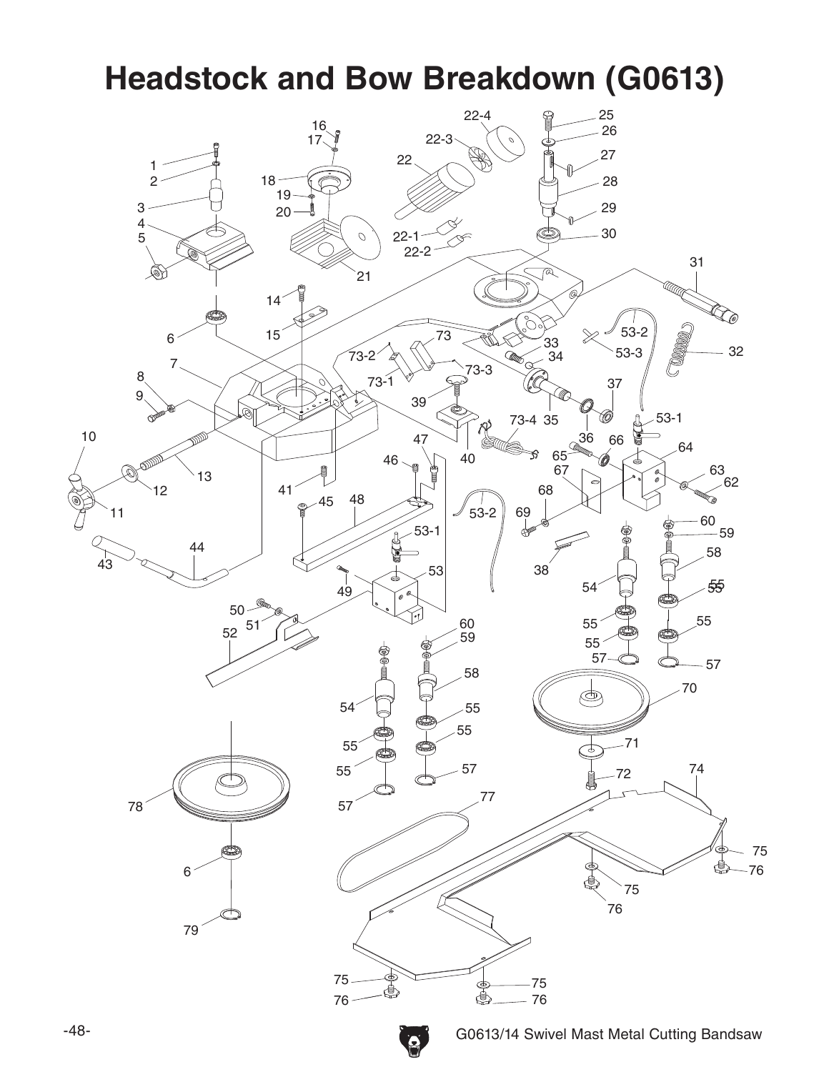#### **Headstock and Bow Breakdown (G0613)**

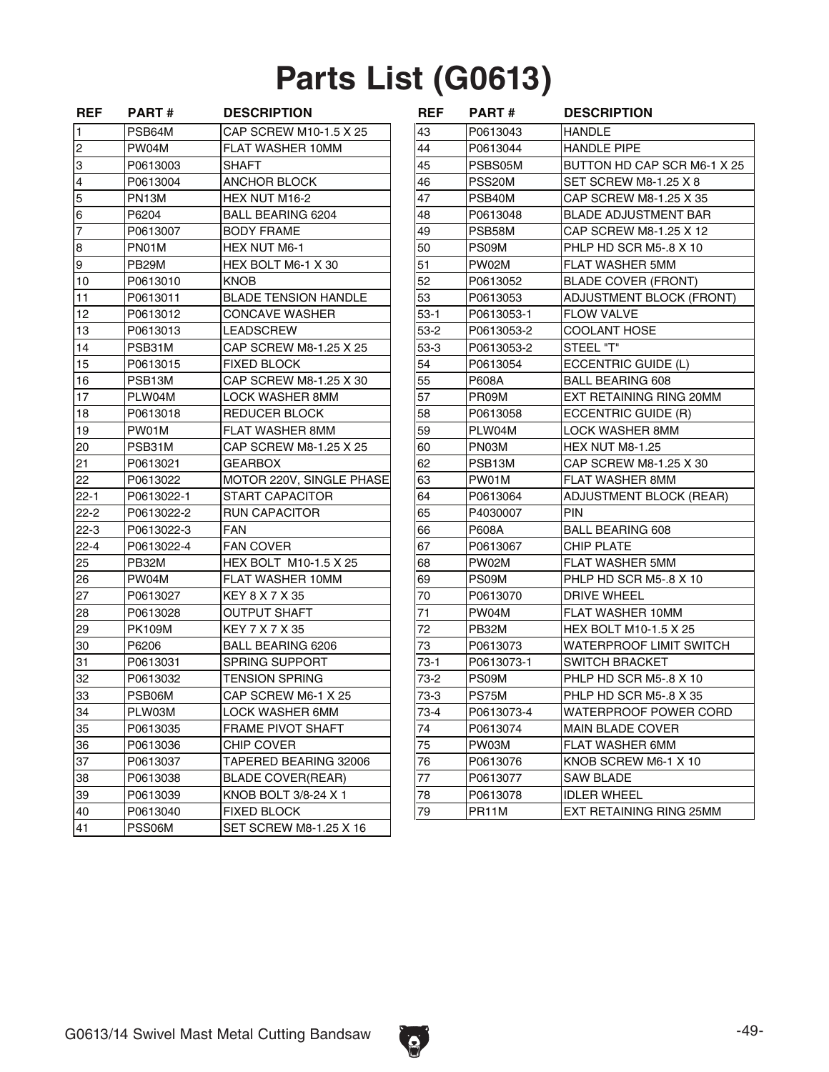# **Parts List (G0613)**

| <b>REF</b>              | <b>PART#</b>  | <b>DESCRIPTION</b>          | <b>REF</b> | <b>PART#</b> | <b>DESCRIPTION</b>           |
|-------------------------|---------------|-----------------------------|------------|--------------|------------------------------|
| $\mathbf{1}$            | PSB64M        | CAP SCREW M10-1.5 X 25      | 43         | P0613043     | <b>HANDLE</b>                |
| 2                       | PW04M         | FLAT WASHER 10MM            | 44         | P0613044     | <b>HANDLE PIPE</b>           |
| 3                       | P0613003      | <b>SHAFT</b>                | 45         | PSBS05M      | BUTTON HD CAP SCR M6-1 X     |
| $\overline{\mathbf{4}}$ | P0613004      | ANCHOR BLOCK                | 46         | PSS20M       | <b>SET SCREW M8-1.25 X 8</b> |
| 5                       | PN13M         | HEX NUT M16-2               | 47         | PSB40M       | CAP SCREW M8-1.25 X 35       |
| 6                       | P6204         | <b>BALL BEARING 6204</b>    | 48         | P0613048     | <b>BLADE ADJUSTMENT BAR</b>  |
| $\overline{7}$          | P0613007      | <b>BODY FRAME</b>           | 49         | PSB58M       | CAP SCREW M8-1.25 X 12       |
| 8                       | PN01M         | HEX NUT M6-1                | 50         | PS09M        | PHLP HD SCR M5-.8 X 10       |
| 9                       | PB29M         | HEX BOLT M6-1 X 30          | 51         | PW02M        | <b>FLAT WASHER 5MM</b>       |
| 10                      | P0613010      | KNOB                        | 52         | P0613052     | <b>BLADE COVER (FRONT)</b>   |
| 11                      | P0613011      | <b>BLADE TENSION HANDLE</b> | 53         | P0613053     | ADJUSTMENT BLOCK (FRONT      |
| 12                      | P0613012      | CONCAVE WASHER              | $53-1$     | P0613053-1   | <b>FLOW VALVE</b>            |
| 13                      | P0613013      | LEADSCREW                   | $53-2$     | P0613053-2   | COOLANT HOSE                 |
| 14                      | PSB31M        | CAP SCREW M8-1.25 X 25      | 53-3       | P0613053-2   | STEEL "T"                    |
| 15                      | P0613015      | <b>FIXED BLOCK</b>          | 54         | P0613054     | ECCENTRIC GUIDE (L)          |
| 16                      | PSB13M        | CAP SCREW M8-1.25 X 30      | 55         | P608A        | <b>BALL BEARING 608</b>      |
| 17                      | PLW04M        | <b>LOCK WASHER 8MM</b>      | 57         | PR09M        | EXT RETAINING RING 20MM      |
| 18                      | P0613018      | REDUCER BLOCK               | 58         | P0613058     | ECCENTRIC GUIDE (R)          |
| 19                      | PW01M         | FLAT WASHER 8MM             | 59         | PLW04M       | LOCK WASHER 8MM              |
| 20                      | PSB31M        | CAP SCREW M8-1.25 X 25      | 60         | PN03M        | HEX NUT M8-1.25              |
| 21                      | P0613021      | GEARBOX                     | 62         | PSB13M       | CAP SCREW M8-1.25 X 30       |
| 22                      | P0613022      | MOTOR 220V, SINGLE PHASE    | 63         | PW01M        | <b>FLAT WASHER 8MM</b>       |
| $22 - 1$                | P0613022-1    | <b>START CAPACITOR</b>      | 64         | P0613064     | ADJUSTMENT BLOCK (REAR)      |
| $22 - 2$                | P0613022-2    | <b>RUN CAPACITOR</b>        | 65         | P4030007     | <b>PIN</b>                   |
| $22-3$                  | P0613022-3    | <b>FAN</b>                  | 66         | P608A        | <b>BALL BEARING 608</b>      |
| $22 - 4$                | P0613022-4    | <b>FAN COVER</b>            | 67         | P0613067     | <b>CHIP PLATE</b>            |
| 25                      | PB32M         | HEX BOLT M10-1.5 X 25       | 68         | PW02M        | FLAT WASHER 5MM              |
| 26                      | PW04M         | FLAT WASHER 10MM            | 69         | PS09M        | PHLP HD SCR M5-.8 X 10       |
| 27                      | P0613027      | KEY 8 X 7 X 35              | 70         | P0613070     | <b>DRIVE WHEEL</b>           |
| 28                      | P0613028      | <b>OUTPUT SHAFT</b>         | 71         | PW04M        | FLAT WASHER 10MM             |
| 29                      | <b>PK109M</b> | KEY 7 X 7 X 35              | 72         | PB32M        | <b>HEX BOLT M10-1.5 X 25</b> |
| 30                      | P6206         | <b>BALL BEARING 6206</b>    | 73         | P0613073     | WATERPROOF LIMIT SWITCH      |
| 31                      | P0613031      | <b>SPRING SUPPORT</b>       | 73-1       | P0613073-1   | <b>SWITCH BRACKET</b>        |
| 32                      | P0613032      | <b>TENSION SPRING</b>       | 73-2       | PS09M        | PHLP HD SCR M5-.8 X 10       |
| 33                      | PSB06M        | CAP SCREW M6-1 X 25         | $73-3$     | PS75M        | PHLP HD SCR M5-.8 X 35       |
| 34                      | PLW03M        | LOCK WASHER 6MM             | $73-4$     | P0613073-4   | WATERPROOF POWER CORD        |
| 35                      | P0613035      | <b>FRAME PIVOT SHAFT</b>    | 74         | P0613074     | <b>MAIN BLADE COVER</b>      |
| 36                      | P0613036      | <b>CHIP COVER</b>           | 75         | PW03M        | FLAT WASHER 6MM              |
| 37                      | P0613037      | TAPERED BEARING 32006       | 76         | P0613076     | KNOB SCREW M6-1 X 10         |
| 38                      | P0613038      | <b>BLADE COVER(REAR)</b>    | 77         | P0613077     | SAW BLADE                    |
| 39                      | P0613039      | KNOB BOLT 3/8-24 X 1        | 78         | P0613078     | <b>IDLER WHEEL</b>           |
| 40                      | P0613040      | <b>FIXED BLOCK</b>          | 79         | PR11M        | EXT RETAINING RING 25MM      |
| 41                      | PSS06M        | SET SCREW M8-1.25 X 16      |            |              |                              |

| <b>REF</b> | <b>PART#</b>       | <b>DESCRIPTION</b>          | <b>REF</b> | <b>PART#</b> | <b>DESCRIPTION</b>             |
|------------|--------------------|-----------------------------|------------|--------------|--------------------------------|
| 1          | PSB64M             | CAP SCREW M10-1.5 X 25      | 43         | P0613043     | <b>HANDLE</b>                  |
| 2          | PW04M              | FLAT WASHER 10MM            | 44         | P0613044     | <b>HANDLE PIPE</b>             |
| 3          | P0613003           | <b>SHAFT</b>                | 45         | PSBS05M      | BUTTON HD CAP SCR M6-1 X 25    |
| 4          | P0613004           | <b>ANCHOR BLOCK</b>         | 46         | PSS20M       | SET SCREW M8-1.25 X 8          |
| 5          | PN13M              | HEX NUT M16-2               | 47         | PSB40M       | CAP SCREW M8-1.25 X 35         |
| 6          | P6204              | BALL BEARING 6204           | 48         | P0613048     | <b>BLADE ADJUSTMENT BAR</b>    |
| 7          | P0613007           | <b>BODY FRAME</b>           | 49         | PSB58M       | CAP SCREW M8-1.25 X 12         |
| 8          | PN01M              | <b>HEX NUT M6-1</b>         | 50         | PS09M        | PHLP HD SCR M5-.8 X 10         |
| 9          | PB <sub>29</sub> M | HEX BOLT M6-1 X 30          | 51         | PW02M        | <b>FLAT WASHER 5MM</b>         |
| 10         | P0613010           | KNOB                        | 52         | P0613052     | <b>BLADE COVER (FRONT)</b>     |
| 11         | P0613011           | <b>BLADE TENSION HANDLE</b> | 53         | P0613053     | ADJUSTMENT BLOCK (FRONT)       |
| 12         | P0613012           | <b>CONCAVE WASHER</b>       | 53-1       | P0613053-1   | <b>FLOW VALVE</b>              |
| 13         | P0613013           | LEADSCREW                   | $53-2$     | P0613053-2   | <b>COOLANT HOSE</b>            |
| 14         | PSB31M             | CAP SCREW M8-1.25 X 25      | $53-3$     | P0613053-2   | STEEL "T"                      |
| 15         | P0613015           | <b>FIXED BLOCK</b>          | 54         | P0613054     | ECCENTRIC GUIDE (L)            |
| 16         | PSB13M             | CAP SCREW M8-1.25 X 30      | 55         | P608A        | <b>BALL BEARING 608</b>        |
| 17         | PLW04M             | LOCK WASHER 8MM             | 57         | PR09M        | EXT RETAINING RING 20MM        |
| 18         | P0613018           | REDUCER BLOCK               | 58         | P0613058     | ECCENTRIC GUIDE (R)            |
| 19         | PW01M              | <b>FLAT WASHER 8MM</b>      | 59         | PLW04M       | LOCK WASHER 8MM                |
| 20         | PSB31M             | CAP SCREW M8-1.25 X 25      | 60         | PN03M        | HEX NUT M8-1.25                |
| 21         | P0613021           | <b>GEARBOX</b>              | 62         | PSB13M       | CAP SCREW M8-1.25 X 30         |
| 22         | P0613022           | MOTOR 220V, SINGLE PHASE    | 63         | PW01M        | <b>FLAT WASHER 8MM</b>         |
| 22-1       | P0613022-1         | <b>START CAPACITOR</b>      | 64         | P0613064     | <b>ADJUSTMENT BLOCK (REAR)</b> |
| 22-2       | P0613022-2         | <b>RUN CAPACITOR</b>        | 65         | P4030007     | <b>PIN</b>                     |
| 22-3       | P0613022-3         | <b>FAN</b>                  | 66         | P608A        | <b>BALL BEARING 608</b>        |
| 22-4       | P0613022-4         | <b>FAN COVER</b>            | 67         | P0613067     | <b>CHIP PLATE</b>              |
| 25         | PB32M              | HEX BOLT M10-1.5 X 25       | 68         | PW02M        | <b>FLAT WASHER 5MM</b>         |
| 26         | PW04M              | FLAT WASHER 10MM            | 69         | PS09M        | PHLP HD SCR M5-.8 X 10         |
| 27         | P0613027           | KEY 8 X 7 X 35              | 70         | P0613070     | <b>DRIVE WHEEL</b>             |
| 28         | P0613028           | OUTPUT SHAFT                | 71         | PW04M        | FLAT WASHER 10MM               |
| 29         | <b>PK109M</b>      | KEY 7 X 7 X 35              | 72         | PB32M        | <b>HEX BOLT M10-1.5 X 25</b>   |
| 30         | P6206              | <b>BALL BEARING 6206</b>    | 73         | P0613073     | <b>WATERPROOF LIMIT SWITCH</b> |
| 31         | P0613031           | <b>SPRING SUPPORT</b>       | 73-1       | P0613073-1   | <b>SWITCH BRACKET</b>          |
| 32         | P0613032           | <b>TENSION SPRING</b>       | $73-2$     | PS09M        | PHLP HD SCR M5-.8 X 10         |
| 33         | PSB06M             | CAP SCREW M6-1 X 25         | $73-3$     | PS75M        | PHLP HD SCR M5-.8 X 35         |
| 34         | PLW03M             | LOCK WASHER 6MM             | 73-4       | P0613073-4   | <b>WATERPROOF POWER CORD</b>   |
| 35         | P0613035           | <b>FRAME PIVOT SHAFT</b>    | 74         | P0613074     | <b>MAIN BLADE COVER</b>        |
| 36         | P0613036           | <b>CHIP COVER</b>           | 75         | PW03M        | FLAT WASHER 6MM                |
| 37         | P0613037           | TAPERED BEARING 32006       | 76         | P0613076     | KNOB SCREW M6-1 X 10           |
| 38         | P0613038           | <b>BLADE COVER(REAR)</b>    | 77         | P0613077     | <b>SAW BLADE</b>               |
| 39         | P0613039           | KNOB BOLT 3/8-24 X 1        | 78         | P0613078     | <b>IDLER WHEEL</b>             |
| 40         | P0613040           | <b>FIXED BLOCK</b>          | 79         | PR11M        | EXT RETAINING RING 25MM        |

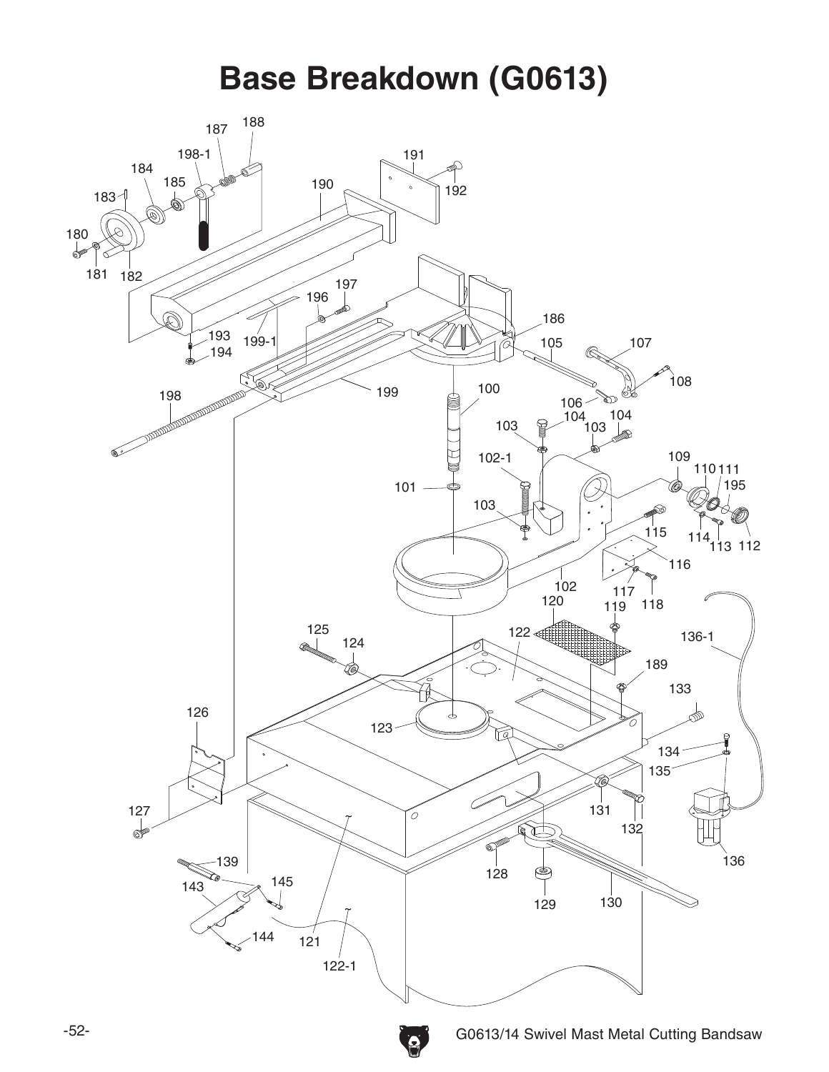**Base Breakdown (G0613)** 

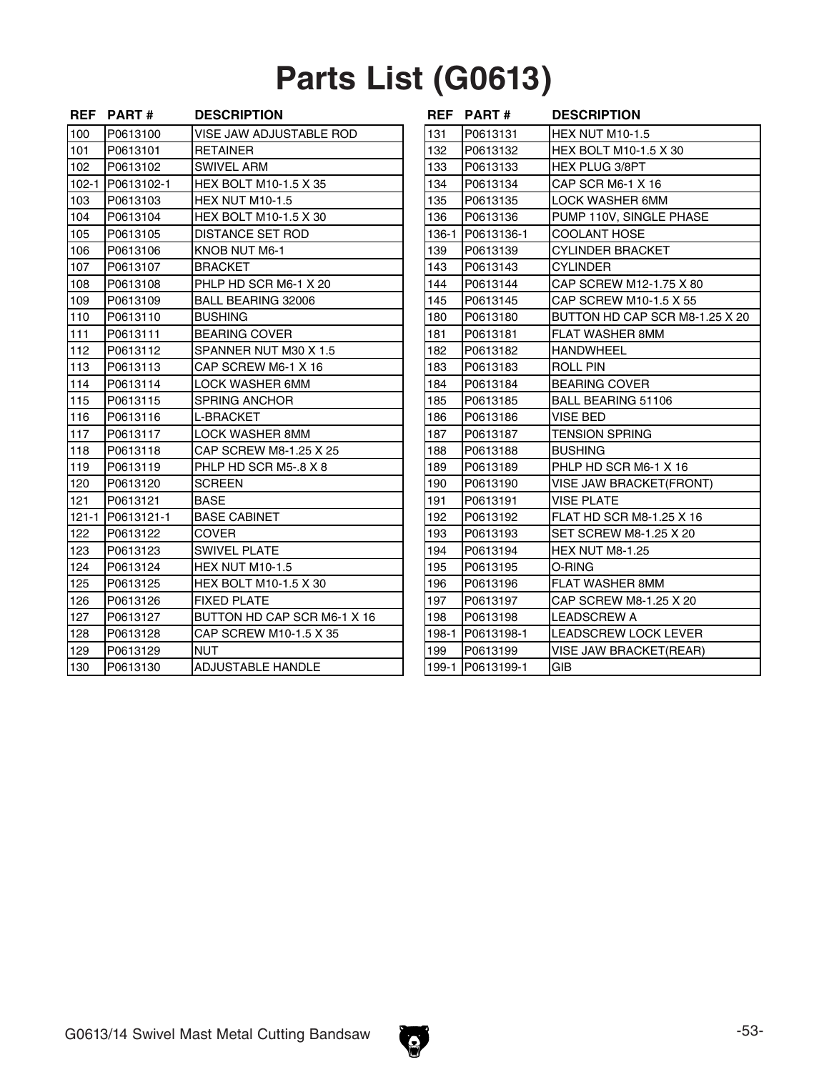## **Parts List (G0613)**

|     | REF PART#        | <b>DESCRIPTION</b>           |       | REF PART#        | <b>DESCRIPTION</b>             |
|-----|------------------|------------------------------|-------|------------------|--------------------------------|
| 100 | P0613100         | VISE JAW ADJUSTABLE ROD      | 131   | P0613131         | <b>HEX NUT M10-1.5</b>         |
| 101 | P0613101         | <b>RETAINER</b>              | 132   | P0613132         | <b>HEX BOLT M10-1.5 X 30</b>   |
| 102 | P0613102         | <b>SWIVEL ARM</b>            | 133   | P0613133         | <b>HEX PLUG 3/8PT</b>          |
|     | 102-1 P0613102-1 | <b>HEX BOLT M10-1.5 X 35</b> | 134   | P0613134         | CAP SCR M6-1 X 16              |
| 103 | P0613103         | <b>HEX NUT M10-1.5</b>       | 135   | P0613135         | <b>LOCK WASHER 6MM</b>         |
| 104 | P0613104         | <b>HEX BOLT M10-1.5 X 30</b> | 136   | P0613136         | PUMP 110V, SINGLE PHASE        |
| 105 | P0613105         | <b>DISTANCE SET ROD</b>      | 136-1 | P0613136-1       | COOLANT HOSE                   |
| 106 | P0613106         | KNOB NUT M6-1                | 139   | P0613139         | <b>CYLINDER BRACKET</b>        |
| 107 | P0613107         | <b>BRACKET</b>               | 143   | P0613143         | CYLINDER                       |
| 108 | P0613108         | PHLP HD SCR M6-1 X 20        | 144   | P0613144         | CAP SCREW M12-1.75 X 80        |
| 109 | P0613109         | BALL BEARING 32006           | 145   | P0613145         | CAP SCREW M10-1.5 X 55         |
| 110 | P0613110         | <b>BUSHING</b>               | 180   | P0613180         | BUTTON HD CAP SCR M8-1.25 X 20 |
| 111 | P0613111         | <b>BEARING COVER</b>         | 181   | P0613181         | <b>FLAT WASHER 8MM</b>         |
| 112 | P0613112         | SPANNER NUT M30 X 1.5        | 182   | P0613182         | <b>HANDWHEEL</b>               |
| 113 | P0613113         | CAP SCREW M6-1 X 16          | 183   | P0613183         | <b>ROLL PIN</b>                |
| 114 | P0613114         | <b>LOCK WASHER 6MM</b>       | 184   | P0613184         | <b>BEARING COVER</b>           |
| 115 | P0613115         | <b>SPRING ANCHOR</b>         | 185   | P0613185         | <b>BALL BEARING 51106</b>      |
| 116 | P0613116         | <b>L-BRACKET</b>             | 186   | P0613186         | <b>VISE BED</b>                |
| 117 | P0613117         | LOCK WASHER 8MM              | 187   | P0613187         | <b>TENSION SPRING</b>          |
| 118 | P0613118         | CAP SCREW M8-1.25 X 25       | 188   | P0613188         | <b>BUSHING</b>                 |
| 119 | P0613119         | PHLP HD SCR M5-.8 X 8        | 189   | P0613189         | PHLP HD SCR M6-1 X 16          |
| 120 | P0613120         | <b>SCREEN</b>                | 190   | P0613190         | <b>VISE JAW BRACKET(FRONT)</b> |
| 121 | P0613121         | <b>BASE</b>                  | 191   | P0613191         | <b>VISE PLATE</b>              |
|     | 121-1 P0613121-1 | <b>BASE CABINET</b>          | 192   | P0613192         | FLAT HD SCR M8-1.25 X 16       |
| 122 | P0613122         | <b>COVER</b>                 | 193   | P0613193         | SET SCREW M8-1.25 X 20         |
| 123 | P0613123         | <b>SWIVEL PLATE</b>          | 194   | P0613194         | <b>HEX NUT M8-1.25</b>         |
| 124 | P0613124         | <b>HEX NUT M10-1.5</b>       | 195   | P0613195         | O-RING                         |
| 125 | P0613125         | HEX BOLT M10-1.5 X 30        | 196   | P0613196         | <b>FLAT WASHER 8MM</b>         |
| 126 | P0613126         | <b>FIXED PLATE</b>           | 197   | P0613197         | CAP SCREW M8-1.25 X 20         |
| 127 | P0613127         | BUTTON HD CAP SCR M6-1 X 16  | 198   | P0613198         | <b>LEADSCREW A</b>             |
| 128 | P0613128         | CAP SCREW M10-1.5 X 35       | 198-1 | P0613198-1       | LEADSCREW LOCK LEVER           |
| 129 | P0613129         | <b>NUT</b>                   | 199   | P0613199         | <b>VISE JAW BRACKET(REAR)</b>  |
| 130 | P0613130         | <b>ADJUSTABLE HANDLE</b>     |       | 199-1 P0613199-1 | GIB                            |

|       | <b>REF PART#</b> | <b>DESCRIPTION</b>             |
|-------|------------------|--------------------------------|
| 131   | P0613131         | <b>HEX NUT M10-1.5</b>         |
| 132   | P0613132         | HEX BOLT M10-1.5 X 30          |
| 133   | P0613133         | <b>HEX PLUG 3/8PT</b>          |
| 134   | P0613134         | CAP SCR M6-1 X 16              |
| 135   | P0613135         | <b>LOCK WASHER 6MM</b>         |
| 136   | P0613136         | PUMP 110V, SINGLE PHASE        |
| 136-1 | P0613136-1       | <b>COOLANT HOSE</b>            |
| 139   | P0613139         | <b>CYLINDER BRACKET</b>        |
| 143   | P0613143         | <b>CYLINDER</b>                |
| 144   | P0613144         | CAP SCREW M12-1.75 X 80        |
| 145   | P0613145         | CAP SCREW M10-1.5 X 55         |
| 180   | P0613180         | BUTTON HD CAP SCR M8-1.25 X 20 |
| 181   | P0613181         | <b>FLAT WASHER 8MM</b>         |
| 182   | P0613182         | <b>HANDWHEEL</b>               |
| 183   | P0613183         | <b>ROLL PIN</b>                |
| 184   | P0613184         | <b>BEARING COVER</b>           |
| 185   | P0613185         | BALL BEARING 51106             |
| 186   | P0613186         | <b>VISE BED</b>                |
| 187   | P0613187         | <b>TENSION SPRING</b>          |
| 188   | P0613188         | <b>BUSHING</b>                 |
| 189   | P0613189         | PHLP HD SCR M6-1 X 16          |
| 190   | P0613190         | <b>VISE JAW BRACKET(FRONT)</b> |
| 191   | P0613191         | <b>VISE PLATE</b>              |
| 192   | P0613192         | FLAT HD SCR M8-1.25 X 16       |
| 193   | P0613193         | SET SCREW M8-1.25 X 20         |
| 194   | P0613194         | <b>HEX NUT M8-1.25</b>         |
| 195   | P0613195         | O-RING                         |
| 196   | P0613196         | FLAT WASHER 8MM                |
| 197   | P0613197         | CAP SCREW M8-1.25 X 20         |
| 198   | P0613198         | <b>LEADSCREW A</b>             |
| 198-1 | P0613198-1       | <b>LEADSCREW LOCK LEVER</b>    |
| 199   | P0613199         | <b>VISE JAW BRACKET(REAR)</b>  |
| 199-1 | P0613199-1       | GIB                            |

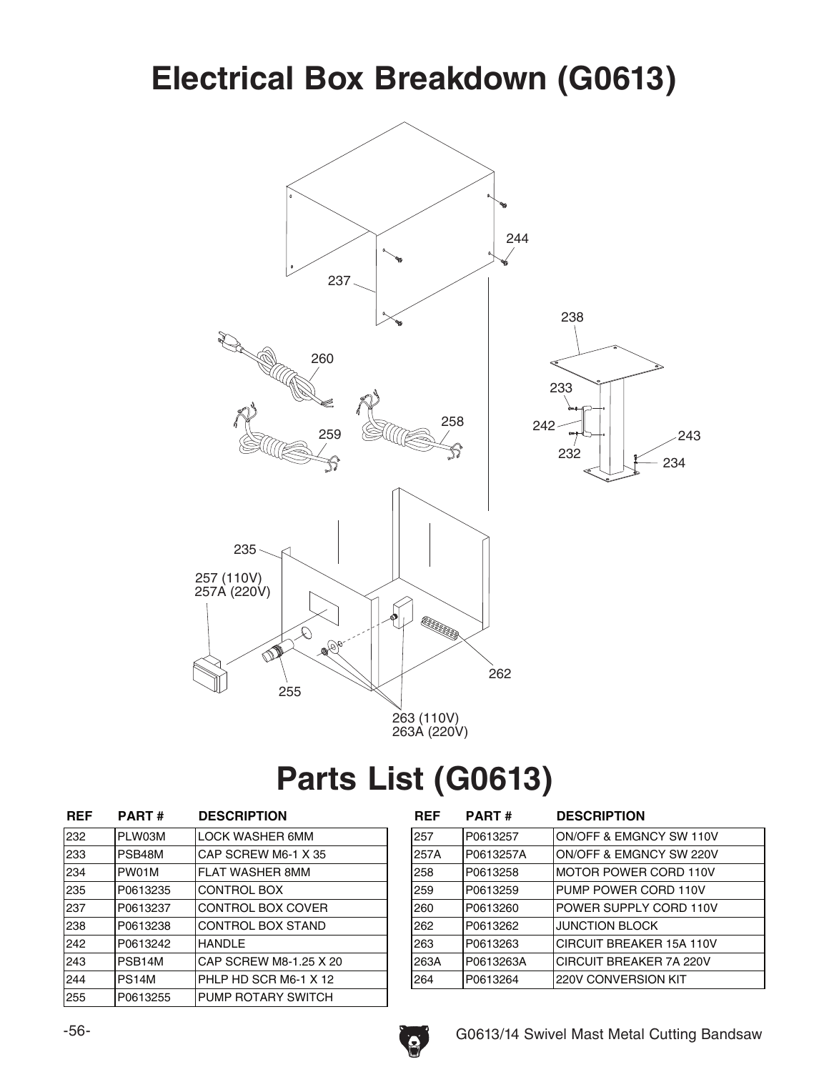#### **Electrical Box Breakdown (G0613)**



## Parts List (G0613)

| <b>REF</b> | <b>PART#</b> | <b>DESCRIPTION</b>       |
|------------|--------------|--------------------------|
| 232        | PLW03M       | <b>LOCK WASHER 6MM</b>   |
| 233        | PSB48M       | CAP SCREW M6-1 X 35      |
| 234        | PW01M        | <b>FLAT WASHER 8MM</b>   |
| 235        | P0613235     | <b>CONTROL BOX</b>       |
| 237        | P0613237     | <b>CONTROL BOX COVER</b> |
| 238        | P0613238     | CONTROL BOX STAND        |
| 242        | P0613242     | <b>HANDLE</b>            |
| 243        | PSB14M       | CAP SCREW M8-1.25 X 20   |
| 244        | PS14M        | PHLP HD SCR M6-1 X 12    |
| 255        | P0613255     | PUMP ROTARY SWITCH       |

| <b>REF</b> | <b>PART#</b> | <b>DESCRIPTION</b>       |
|------------|--------------|--------------------------|
| 257        | P0613257     | ON/OFF & EMGNCY SW 110V  |
| 257A       | P0613257A    | ON/OFF & EMGNCY SW 220V  |
| 258        | P0613258     | MOTOR POWER CORD 110V    |
| 259        | P0613259     | PUMP POWER CORD 110V     |
| 260        | P0613260     | POWER SUPPLY CORD 110V   |
| 262        | P0613262     | <b>JUNCTION BLOCK</b>    |
| 263        | P0613263     | CIRCUIT BREAKER 15A 110V |
| 263A       | P0613263A    | CIRCUIT BREAKER 7A 220V  |
| 264        | P0613264     | 220V CONVERSION KIT      |

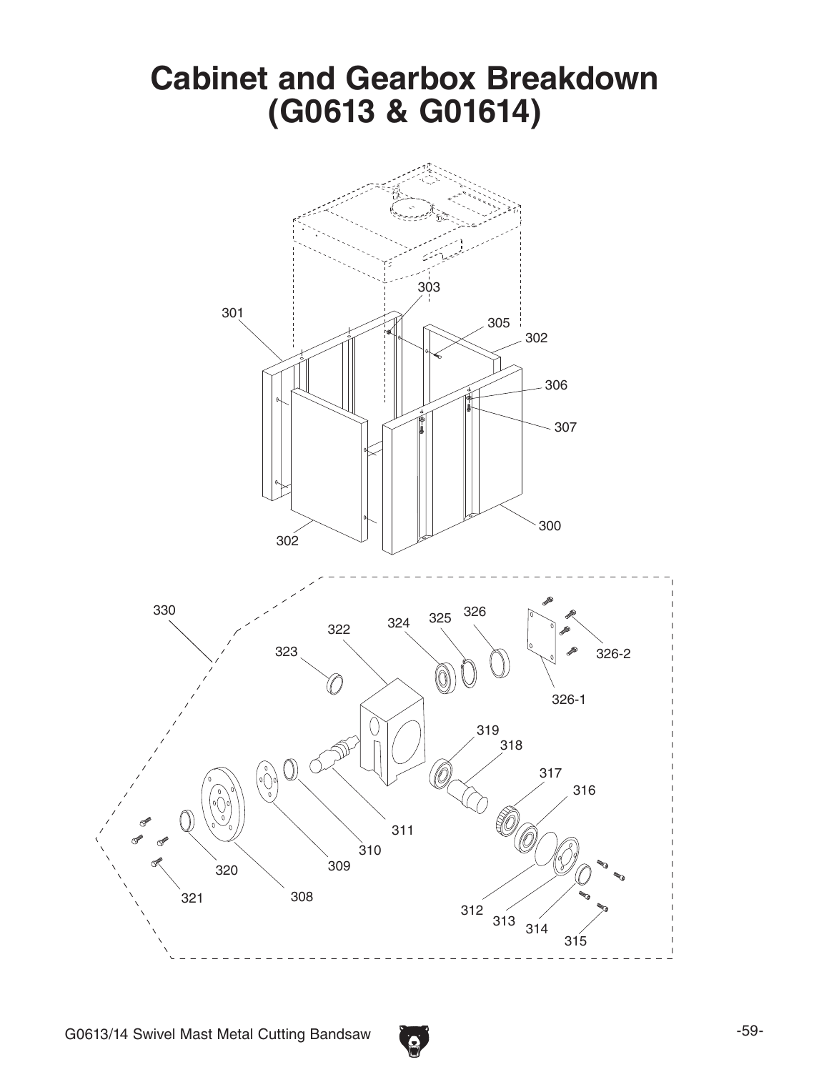

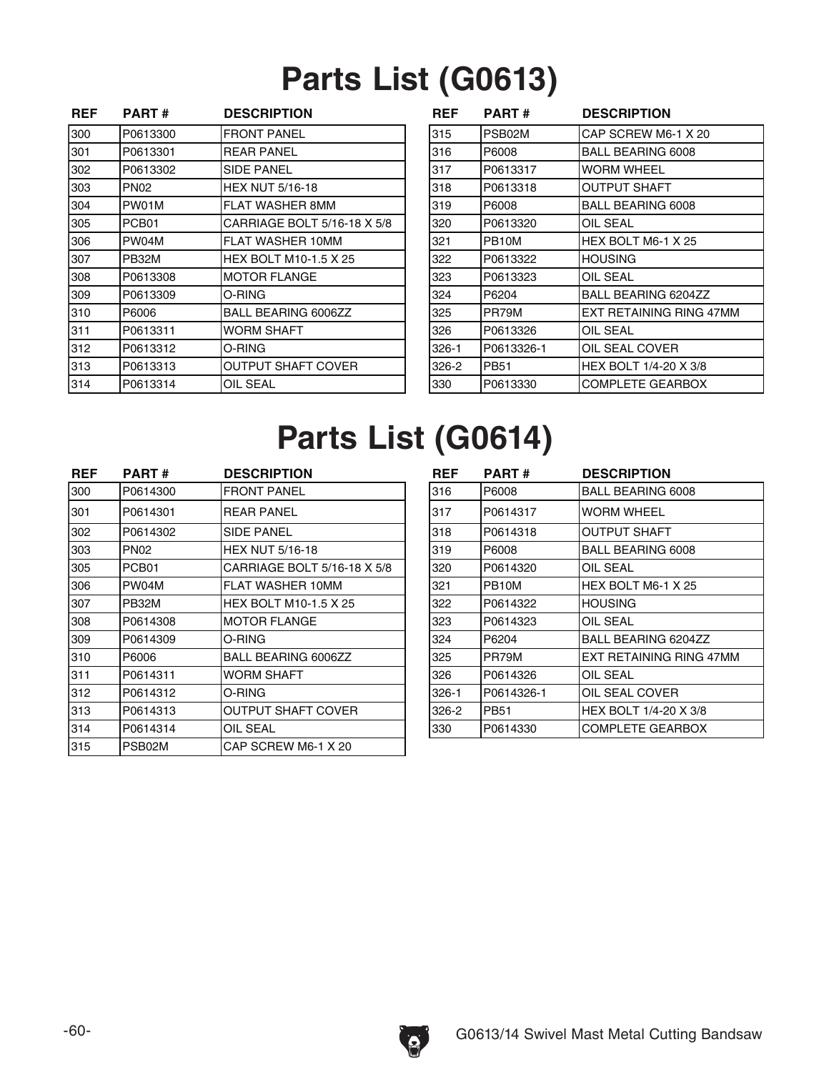# **Parts List (G0613)**

| <b>REF</b> | <b>PART#</b> | <b>DESCRIPTION</b>          | <b>REF</b> | <b>PART#</b>       | <b>DESCRIPTION</b>       |
|------------|--------------|-----------------------------|------------|--------------------|--------------------------|
| 300        | P0613300     | <b>FRONT PANEL</b>          | 315        | PSB02M             | CAP SCREW M6-1 X 20      |
| 301        | P0613301     | <b>REAR PANEL</b>           | 316        | P6008              | <b>BALL BEARING 6008</b> |
| 302        | P0613302     | <b>SIDE PANEL</b>           | 317        | P0613317           | <b>WORM WHEEL</b>        |
| 303        | <b>PN02</b>  | <b>HEX NUT 5/16-18</b>      | 318        | P0613318           | <b>OUTPUT SHAFT</b>      |
| 304        | PW01M        | FLAT WASHER 8MM             | 319        | P6008              | <b>BALL BEARING 6008</b> |
| 305        | PCB01        | CARRIAGE BOLT 5/16-18 X 5/8 | 320        | P0613320           | OIL SEAL                 |
| 306        | PW04M        | FLAT WASHER 10MM            | 321        | PB <sub>10</sub> M | HEX BOLT M6-1 X 25       |
| 307        | PB32M        | HEX BOLT M10-1.5 X 25       | 322        | P0613322           | <b>HOUSING</b>           |
| 308        | P0613308     | <b>MOTOR FLANGE</b>         | 323        | P0613323           | OIL SEAL                 |
| 309        | P0613309     | O-RING                      | 324        | P6204              | BALL BEARING 6204ZZ      |
| 310        | P6006        | BALL BEARING 6006ZZ         | 325        | PR79M              | EXT RETAINING RING 47MM  |
| 311        | P0613311     | <b>WORM SHAFT</b>           | 326        | P0613326           | OIL SEAL                 |
| 312        | P0613312     | O-RING                      | $326 - 1$  | P0613326-1         | OIL SEAL COVER           |
| 313        | P0613313     | OUTPUT SHAFT COVER          | 326-2      | <b>PB51</b>        | HEX BOLT 1/4-20 X 3/8    |
| 314        | P0613314     | OIL SEAL                    | 330        | P0613330           | <b>COMPLETE GEARBOX</b>  |

| REF   | <b>PART#</b> | <b>DESCRIPTION</b>      |
|-------|--------------|-------------------------|
| 315   | PSB02M       | CAP SCREW M6-1 X 20     |
| 316   | P6008        | BALL BEARING 6008       |
| 317   | P0613317     | WORM WHEEL              |
| 318   | P0613318     | OUTPUT SHAFT            |
| 319   | P6008        | BALL BEARING 6008       |
| 320   | P0613320     | OIL SEAL                |
| 321   | PB10M        | HEX BOLT M6-1 X 25      |
| 322   | P0613322     | <b>HOUSING</b>          |
| 323   | P0613323     | OIL SEAL                |
| 324   | P6204        | BALL BEARING 6204ZZ     |
| 325   | PR79M        | EXT RETAINING RING 47MM |
| 326   | P0613326     | OIL SEAL                |
| 326-1 | P0613326-1   | OIL SEAL COVER          |
| 326-2 | PB51         | HEX BOLT 1/4-20 X 3/8   |
| 330   | P0613330     | COMPLETE GEARBOX        |

## **Parts List (G0614)**

| <b>REF</b> | <b>PART#</b> | <b>DESCRIPTION</b>           | <b>REF</b> | <b>PART#</b>       | <b>DESCRIPTION</b>       |
|------------|--------------|------------------------------|------------|--------------------|--------------------------|
| 300        | P0614300     | <b>FRONT PANEL</b>           | 316        | P6008              | <b>BALL BEARING 6008</b> |
| 301        | P0614301     | <b>REAR PANEL</b>            | 317        | P0614317           | IWORM WHEEL              |
| 302        | P0614302     | <b>SIDE PANEL</b>            | 318        | P0614318           | <b>OUTPUT SHAFT</b>      |
| 303        | <b>PN02</b>  | <b>HEX NUT 5/16-18</b>       | 319        | P6008              | BALL BEARING 6008        |
| 305        | PCB01        | CARRIAGE BOLT 5/16-18 X 5/8  | 320        | P0614320           | <b>OIL SEAL</b>          |
| 306        | PW04M        | FLAT WASHER 10MM             | 321        | PB <sub>10</sub> M | HEX BOLT M6-1 X 25       |
| 307        | PB32M        | <b>HEX BOLT M10-1.5 X 25</b> | 322        | P0614322           | IHOUSING                 |
| 308        | P0614308     | <b>MOTOR FLANGE</b>          | 323        | P0614323           | OIL SEAL                 |
| 309        | P0614309     | O-RING                       | 324        | P6204              | BALL BEARING 6204ZZ      |
| 310        | P6006        | BALL BEARING 6006ZZ          | 325        | PR79M              | EXT RETAINING RING 47MM  |
| 311        | P0614311     | <b>WORM SHAFT</b>            | 326        | P0614326           | OIL SEAL                 |
| 312        | P0614312     | O-RING                       | $326-1$    | P0614326-1         | <b>OIL SEAL COVER</b>    |
| 313        | P0614313     | <b>OUTPUT SHAFT COVER</b>    | 326-2      | <b>PB51</b>        | HEX BOLT 1/4-20 X 3/8    |
| 314        | P0614314     | OIL SEAL                     | 330        | P0614330           | COMPLETE GEARBOX         |
| 315        | PSB02M       | CAP SCREW M6-1 X 20          |            |                    |                          |
|            |              |                              |            |                    |                          |

| REF   | <b>PART#</b>       | <b>DESCRIPTION</b>      |
|-------|--------------------|-------------------------|
| 316   | P6008              | BALL BEARING 6008       |
| 317   | P0614317           | WORM WHEEL              |
| 318   | P0614318           | OUTPUT SHAFT            |
| 319   | P6008              | BALL BEARING 6008       |
| 320   | P0614320           | OIL SEAL                |
| 321   | PB <sub>10</sub> M | HEX BOLT M6-1 X 25      |
| 322   | P0614322           | <b>HOUSING</b>          |
| 323   | P0614323           | OIL SEAL                |
| 324   | P6204              | BALL BEARING 6204ZZ     |
| 325   | PR79M              | EXT RETAINING RING 47MM |
| 326   | P0614326           | OIL SEAL                |
| 326-1 | P0614326-1         | OIL SEAL COVER          |
| 326-2 | <b>PB51</b>        | HEX BOLT 1/4-20 X 3/8   |
| 330   | P0614330           | <b>COMPLETE GEARBOX</b> |